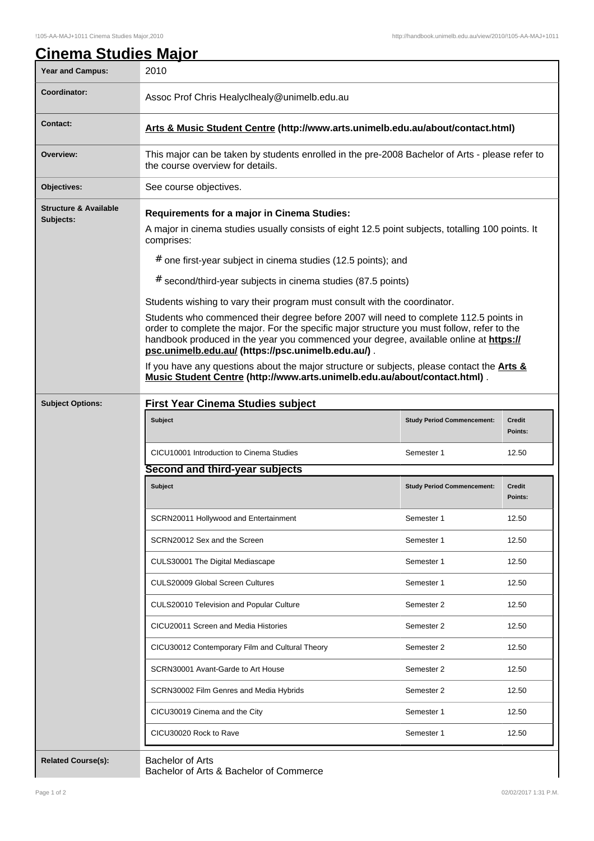| <b>Year and Campus:</b>                       | 2010                                                                                                                                                                                                                                                                                                                                                                                                                                                                                                                                                                                                                                                                                                                                                                                                                     |                                   |                   |
|-----------------------------------------------|--------------------------------------------------------------------------------------------------------------------------------------------------------------------------------------------------------------------------------------------------------------------------------------------------------------------------------------------------------------------------------------------------------------------------------------------------------------------------------------------------------------------------------------------------------------------------------------------------------------------------------------------------------------------------------------------------------------------------------------------------------------------------------------------------------------------------|-----------------------------------|-------------------|
| Coordinator:                                  | Assoc Prof Chris Healyclhealy@unimelb.edu.au                                                                                                                                                                                                                                                                                                                                                                                                                                                                                                                                                                                                                                                                                                                                                                             |                                   |                   |
|                                               |                                                                                                                                                                                                                                                                                                                                                                                                                                                                                                                                                                                                                                                                                                                                                                                                                          |                                   |                   |
| <b>Contact:</b>                               | Arts & Music Student Centre (http://www.arts.unimelb.edu.au/about/contact.html)                                                                                                                                                                                                                                                                                                                                                                                                                                                                                                                                                                                                                                                                                                                                          |                                   |                   |
| Overview:                                     | This major can be taken by students enrolled in the pre-2008 Bachelor of Arts - please refer to<br>the course overview for details.                                                                                                                                                                                                                                                                                                                                                                                                                                                                                                                                                                                                                                                                                      |                                   |                   |
| Objectives:                                   | See course objectives.                                                                                                                                                                                                                                                                                                                                                                                                                                                                                                                                                                                                                                                                                                                                                                                                   |                                   |                   |
| <b>Structure &amp; Available</b><br>Subjects: | <b>Requirements for a major in Cinema Studies:</b><br>A major in cinema studies usually consists of eight 12.5 point subjects, totalling 100 points. It<br>comprises:<br># one first-year subject in cinema studies (12.5 points); and<br># second/third-year subjects in cinema studies (87.5 points)<br>Students wishing to vary their program must consult with the coordinator.<br>Students who commenced their degree before 2007 will need to complete 112.5 points in<br>order to complete the major. For the specific major structure you must follow, refer to the<br>handbook produced in the year you commenced your degree, available online at https://<br>psc.unimelb.edu.au/ (https://psc.unimelb.edu.au/).<br>If you have any questions about the major structure or subjects, please contact the Arts & |                                   |                   |
| <b>Subject Options:</b>                       | Music Student Centre (http://www.arts.unimelb.edu.au/about/contact.html).<br><b>First Year Cinema Studies subject</b>                                                                                                                                                                                                                                                                                                                                                                                                                                                                                                                                                                                                                                                                                                    |                                   |                   |
|                                               | <b>Subject</b>                                                                                                                                                                                                                                                                                                                                                                                                                                                                                                                                                                                                                                                                                                                                                                                                           | <b>Study Period Commencement:</b> | Credit<br>Points: |
|                                               | CICU10001 Introduction to Cinema Studies                                                                                                                                                                                                                                                                                                                                                                                                                                                                                                                                                                                                                                                                                                                                                                                 | Semester 1                        | 12.50             |
|                                               | Second and third-year subjects                                                                                                                                                                                                                                                                                                                                                                                                                                                                                                                                                                                                                                                                                                                                                                                           |                                   |                   |
|                                               | <b>Subject</b>                                                                                                                                                                                                                                                                                                                                                                                                                                                                                                                                                                                                                                                                                                                                                                                                           | <b>Study Period Commencement:</b> | Credit<br>Points: |
|                                               | SCRN20011 Hollywood and Entertainment                                                                                                                                                                                                                                                                                                                                                                                                                                                                                                                                                                                                                                                                                                                                                                                    | Semester 1                        | 12.50             |
|                                               | SCRN20012 Sex and the Screen                                                                                                                                                                                                                                                                                                                                                                                                                                                                                                                                                                                                                                                                                                                                                                                             | Semester 1                        | 12.50             |
|                                               | CULS30001 The Digital Mediascape                                                                                                                                                                                                                                                                                                                                                                                                                                                                                                                                                                                                                                                                                                                                                                                         | Semester 1                        | 12.50             |
|                                               | <b>CULS20009 Global Screen Cultures</b>                                                                                                                                                                                                                                                                                                                                                                                                                                                                                                                                                                                                                                                                                                                                                                                  | Semester 1                        | 12.50             |
|                                               | CULS20010 Television and Popular Culture                                                                                                                                                                                                                                                                                                                                                                                                                                                                                                                                                                                                                                                                                                                                                                                 | Semester 2                        | 12.50             |
|                                               | CICU20011 Screen and Media Histories                                                                                                                                                                                                                                                                                                                                                                                                                                                                                                                                                                                                                                                                                                                                                                                     | Semester 2                        | 12.50             |
|                                               | CICU30012 Contemporary Film and Cultural Theory                                                                                                                                                                                                                                                                                                                                                                                                                                                                                                                                                                                                                                                                                                                                                                          | Semester 2                        | 12.50             |
|                                               | SCRN30001 Avant-Garde to Art House                                                                                                                                                                                                                                                                                                                                                                                                                                                                                                                                                                                                                                                                                                                                                                                       | Semester 2                        | 12.50             |
|                                               | SCRN30002 Film Genres and Media Hybrids                                                                                                                                                                                                                                                                                                                                                                                                                                                                                                                                                                                                                                                                                                                                                                                  | Semester 2                        | 12.50             |
|                                               | CICU30019 Cinema and the City                                                                                                                                                                                                                                                                                                                                                                                                                                                                                                                                                                                                                                                                                                                                                                                            | Semester 1                        | 12.50             |
|                                               | CICU30020 Rock to Rave                                                                                                                                                                                                                                                                                                                                                                                                                                                                                                                                                                                                                                                                                                                                                                                                   | Semester 1                        | 12.50             |
| <b>Related Course(s):</b>                     | <b>Bachelor of Arts</b>                                                                                                                                                                                                                                                                                                                                                                                                                                                                                                                                                                                                                                                                                                                                                                                                  |                                   |                   |

Bachelor of Arts & Bachelor of Commerce

 $\overline{\phantom{a}}$